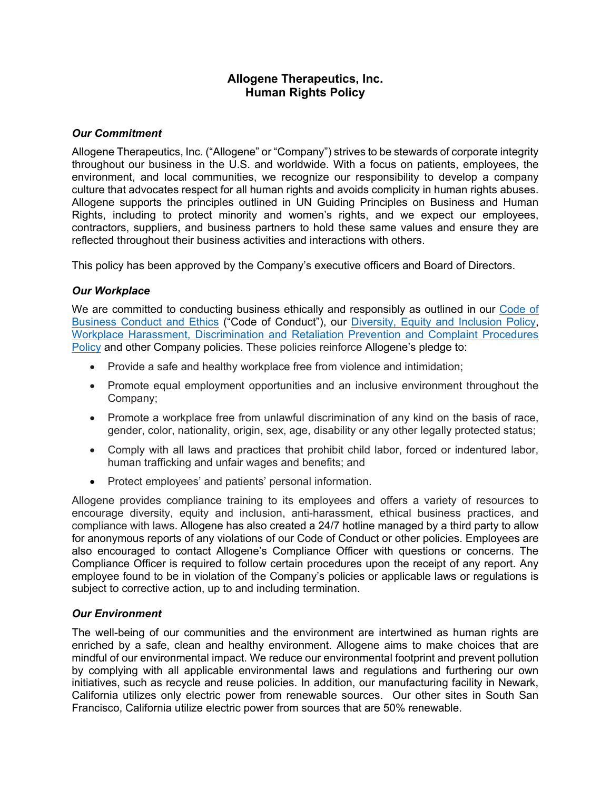# **Allogene Therapeutics, Inc. Human Rights Policy**

## *Our Commitment*

Allogene Therapeutics, Inc. ("Allogene" or "Company") strives to be stewards of corporate integrity throughout our business in the U.S. and worldwide. With a focus on patients, employees, the environment, and local communities, we recognize our responsibility to develop a company culture that advocates respect for all human rights and avoids complicity in human rights abuses. Allogene supports the principles outlined in UN Guiding Principles on Business and Human Rights, including to protect minority and women's rights, and we expect our employees, contractors, suppliers, and business partners to hold these same values and ensure they are reflected throughout their business activities and interactions with others.

This policy has been approved by the Company's executive officers and Board of Directors.

## *Our Workplace*

We are committed to conducting business ethically and responsibly as outlined in our [Code of](https://ir.allogene.com/static-files/e5d659dc-2004-4f52-b478-9f5fe97d96ce)  [Business Conduct and Ethics](https://ir.allogene.com/static-files/e5d659dc-2004-4f52-b478-9f5fe97d96ce) ("Code of Conduct"), our [Diversity, Equity and Inclusion](https://allogene.gcs-web.com/static-files/ec7050be-c9a4-4a26-b901-0a76bb9f18c5) Policy, [Workplace Harassment, Discrimination and Retaliation Prevention and Complaint Procedures](https://allogene.gcs-web.com/static-files/ca2a72a1-4a17-48fa-85f6-133a54ed028e)  [Policy](https://allogene.gcs-web.com/static-files/ca2a72a1-4a17-48fa-85f6-133a54ed028e) and other Company policies. These policies reinforce Allogene's pledge to:

- Provide a safe and healthy workplace free from violence and intimidation;
- Promote equal employment opportunities and an inclusive environment throughout the Company;
- Promote a workplace free from unlawful discrimination of any kind on the basis of race, gender, color, nationality, origin, sex, age, disability or any other legally protected status;
- Comply with all laws and practices that prohibit child labor, forced or indentured labor, human trafficking and unfair wages and benefits; and
- Protect employees' and patients' personal information.

Allogene provides compliance training to its employees and offers a variety of resources to encourage diversity, equity and inclusion, anti-harassment, ethical business practices, and compliance with laws. Allogene has also created a 24/7 hotline managed by a third party to allow for anonymous reports of any violations of our Code of Conduct or other policies. Employees are also encouraged to contact Allogene's Compliance Officer with questions or concerns. The Compliance Officer is required to follow certain procedures upon the receipt of any report. Any employee found to be in violation of the Company's policies or applicable laws or regulations is subject to corrective action, up to and including termination.

#### *Our Environment*

The well-being of our communities and the environment are intertwined as human rights are enriched by a safe, clean and healthy environment. Allogene aims to make choices that are mindful of our environmental impact. We reduce our environmental footprint and prevent pollution by complying with all applicable environmental laws and regulations and furthering our own initiatives, such as recycle and reuse policies. In addition, our manufacturing facility in Newark, California utilizes only electric power from renewable sources. Our other sites in South San Francisco, California utilize electric power from sources that are 50% renewable.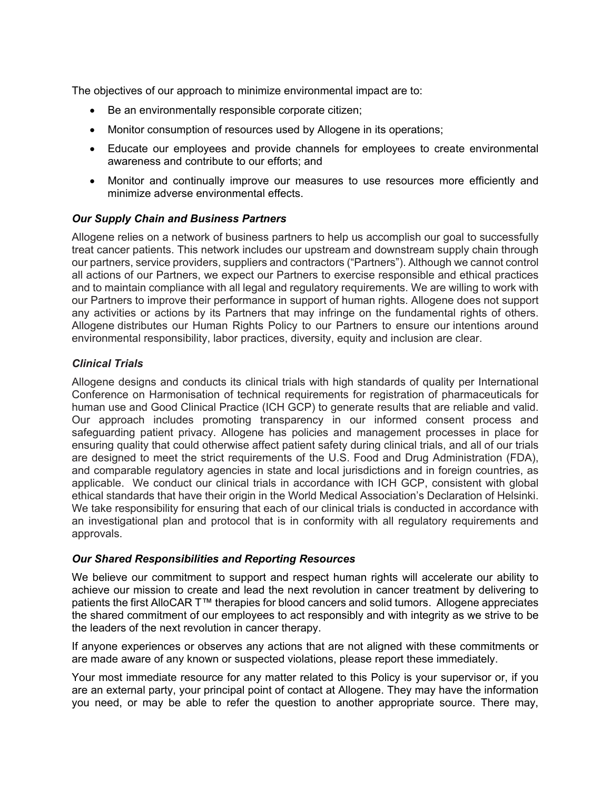The objectives of our approach to minimize environmental impact are to:

- Be an environmentally responsible corporate citizen;
- Monitor consumption of resources used by Allogene in its operations;
- Educate our employees and provide channels for employees to create environmental awareness and contribute to our efforts; and
- Monitor and continually improve our measures to use resources more efficiently and minimize adverse environmental effects.

## *Our Supply Chain and Business Partners*

Allogene relies on a network of business partners to help us accomplish our goal to successfully treat cancer patients. This network includes our upstream and downstream supply chain through our partners, service providers, suppliers and contractors ("Partners"). Although we cannot control all actions of our Partners, we expect our Partners to exercise responsible and ethical practices and to maintain compliance with all legal and regulatory requirements. We are willing to work with our Partners to improve their performance in support of human rights. Allogene does not support any activities or actions by its Partners that may infringe on the fundamental rights of others. Allogene distributes our Human Rights Policy to our Partners to ensure our intentions around environmental responsibility, labor practices, diversity, equity and inclusion are clear.

## *Clinical Trials*

Allogene designs and conducts its clinical trials with high standards of quality per International Conference on Harmonisation of technical requirements for registration of pharmaceuticals for human use and Good Clinical Practice (ICH GCP) to generate results that are reliable and valid. Our approach includes promoting transparency in our informed consent process and safeguarding patient privacy. Allogene has policies and management processes in place for ensuring quality that could otherwise affect patient safety during clinical trials, and all of our trials are designed to meet the strict requirements of the U.S. Food and Drug Administration (FDA), and comparable regulatory agencies in state and local jurisdictions and in foreign countries, as applicable. We conduct our clinical trials in accordance with ICH GCP, consistent with global ethical standards that have their origin in the World Medical Association's Declaration of Helsinki. We take responsibility for ensuring that each of our clinical trials is conducted in accordance with an investigational plan and protocol that is in conformity with all regulatory requirements and approvals.

#### *Our Shared Responsibilities and Reporting Resources*

We believe our commitment to support and respect human rights will accelerate our ability to achieve our mission to create and lead the next revolution in cancer treatment by delivering to patients the first AlloCAR T™ therapies for blood cancers and solid tumors. Allogene appreciates the shared commitment of our employees to act responsibly and with integrity as we strive to be the leaders of the next revolution in cancer therapy.

If anyone experiences or observes any actions that are not aligned with these commitments or are made aware of any known or suspected violations, please report these immediately.

Your most immediate resource for any matter related to this Policy is your supervisor or, if you are an external party, your principal point of contact at Allogene. They may have the information you need, or may be able to refer the question to another appropriate source. There may,